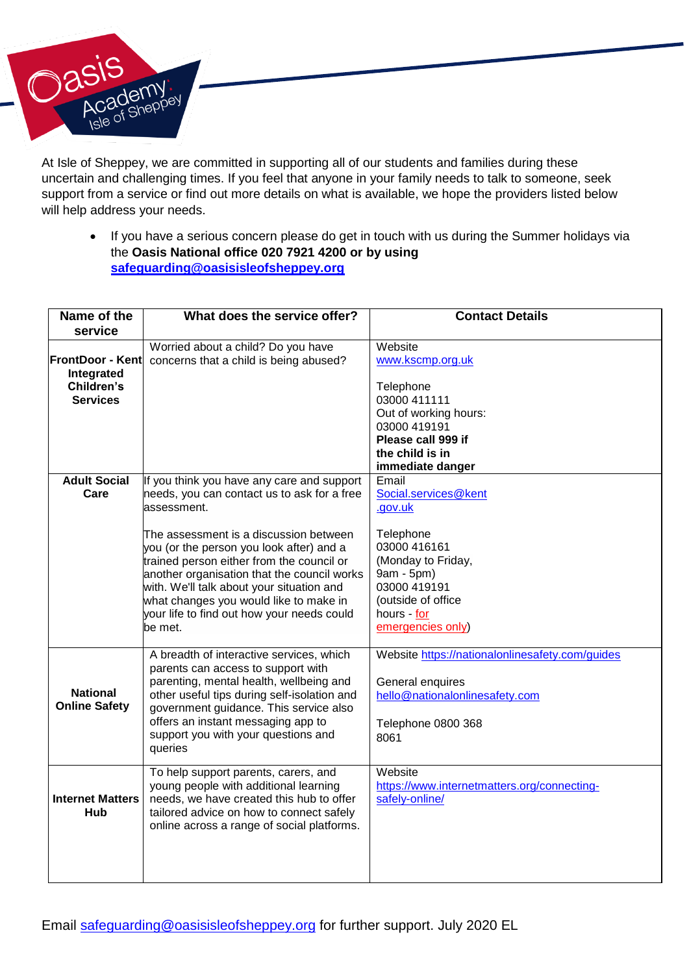

At Isle of Sheppey, we are committed in supporting all of our students and families during these uncertain and challenging times. If you feel that anyone in your family needs to talk to someone, seek support from a service or find out more details on what is available, we hope the providers listed below will help address your needs.

 If you have a serious concern please do get in touch with us during the Summer holidays via the **Oasis National office 020 7921 4200 or by using [safeguarding@oasisisleofsheppey.org](mailto:safeguarding@oasisisleofsheppey.org)**

| Name of the<br>service                                                 | What does the service offer?                                                                                                                                                                                                                                                                                                                                                                                                               | <b>Contact Details</b>                                                                                                                                                              |
|------------------------------------------------------------------------|--------------------------------------------------------------------------------------------------------------------------------------------------------------------------------------------------------------------------------------------------------------------------------------------------------------------------------------------------------------------------------------------------------------------------------------------|-------------------------------------------------------------------------------------------------------------------------------------------------------------------------------------|
| <b>FrontDoor - Kent</b><br>Integrated<br>Children's<br><b>Services</b> | Worried about a child? Do you have<br>concerns that a child is being abused?                                                                                                                                                                                                                                                                                                                                                               | Website<br>www.kscmp.org.uk<br>Telephone<br>03000 411111<br>Out of working hours:<br>03000 419191<br>Please call 999 if<br>the child is in<br>immediate danger                      |
| <b>Adult Social</b><br>Care                                            | If you think you have any care and support<br>needs, you can contact us to ask for a free<br>assessment.<br>The assessment is a discussion between<br>you (or the person you look after) and a<br>trained person either from the council or<br>another organisation that the council works<br>with. We'll talk about your situation and<br>what changes you would like to make in<br>your life to find out how your needs could<br>be met. | Email<br>Social.services@kent<br>.gov.uk<br>Telephone<br>03000 416161<br>(Monday to Friday,<br>9am - 5pm)<br>03000 419191<br>(outside of office<br>hours - for<br>emergencies only) |
| <b>National</b><br><b>Online Safety</b>                                | A breadth of interactive services, which<br>parents can access to support with<br>parenting, mental health, wellbeing and<br>other useful tips during self-isolation and<br>government guidance. This service also<br>offers an instant messaging app to<br>support you with your questions and<br>queries                                                                                                                                 | Website https://nationalonlinesafety.com/quides<br>General enquires<br>hello@nationalonlinesafety.com<br>Telephone 0800 368<br>8061                                                 |
| <b>Internet Matters</b><br>Hub                                         | To help support parents, carers, and<br>young people with additional learning<br>needs, we have created this hub to offer<br>tailored advice on how to connect safely<br>online across a range of social platforms.                                                                                                                                                                                                                        | Website<br>https://www.internetmatters.org/connecting-<br>safely-online/                                                                                                            |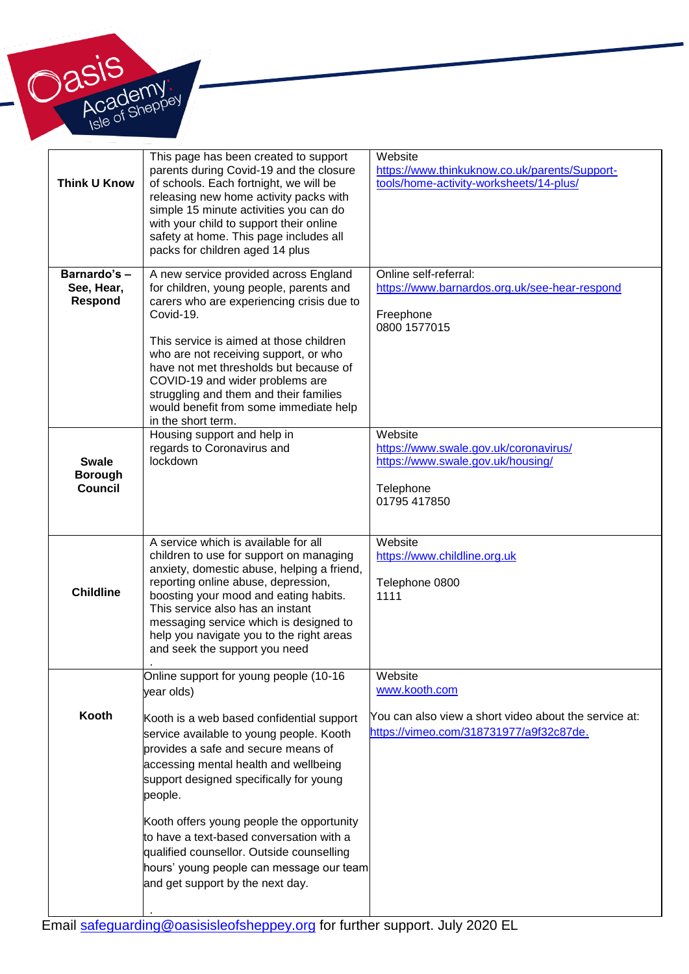

| <b>Think U Know</b>                              | This page has been created to support<br>parents during Covid-19 and the closure<br>of schools. Each fortnight, we will be<br>releasing new home activity packs with<br>simple 15 minute activities you can do<br>with your child to support their online<br>safety at home. This page includes all<br>packs for children aged 14 plus                                                                                                                                                                    | Website<br>https://www.thinkuknow.co.uk/parents/Support-<br>tools/home-activity-worksheets/14-plus/                          |
|--------------------------------------------------|-----------------------------------------------------------------------------------------------------------------------------------------------------------------------------------------------------------------------------------------------------------------------------------------------------------------------------------------------------------------------------------------------------------------------------------------------------------------------------------------------------------|------------------------------------------------------------------------------------------------------------------------------|
| Barnardo's -<br>See, Hear,<br>Respond            | A new service provided across England<br>for children, young people, parents and<br>carers who are experiencing crisis due to<br>Covid-19.<br>This service is aimed at those children<br>who are not receiving support, or who<br>have not met thresholds but because of<br>COVID-19 and wider problems are<br>struggling and them and their families<br>would benefit from some immediate help<br>in the short term.                                                                                     | Online self-referral:<br>https://www.barnardos.org.uk/see-hear-respond<br>Freephone<br>0800 1577015                          |
| <b>Swale</b><br><b>Borough</b><br><b>Council</b> | Housing support and help in<br>regards to Coronavirus and<br>lockdown                                                                                                                                                                                                                                                                                                                                                                                                                                     | Website<br>https://www.swale.gov.uk/coronavirus/<br>https://www.swale.gov.uk/housing/<br>Telephone<br>01795 417850           |
| <b>Childline</b>                                 | A service which is available for all<br>children to use for support on managing<br>anxiety, domestic abuse, helping a friend,<br>reporting online abuse, depression,<br>boosting your mood and eating habits.<br>This service also has an instant<br>messaging service which is designed to<br>help you navigate you to the right areas<br>and seek the support you need                                                                                                                                  | Website<br>https://www.childline.org.uk<br>Telephone 0800<br>1111                                                            |
| Kooth                                            | Online support for young people (10-16<br>year olds)<br>Kooth is a web based confidential support<br>service available to young people. Kooth<br>provides a safe and secure means of<br>accessing mental health and wellbeing<br>support designed specifically for young<br>people.<br>Kooth offers young people the opportunity<br>to have a text-based conversation with a<br>qualified counsellor. Outside counselling<br>hours' young people can message our team<br>and get support by the next day. | Website<br>www.kooth.com<br>You can also view a short video about the service at:<br>https://vimeo.com/318731977/a9f32c87de. |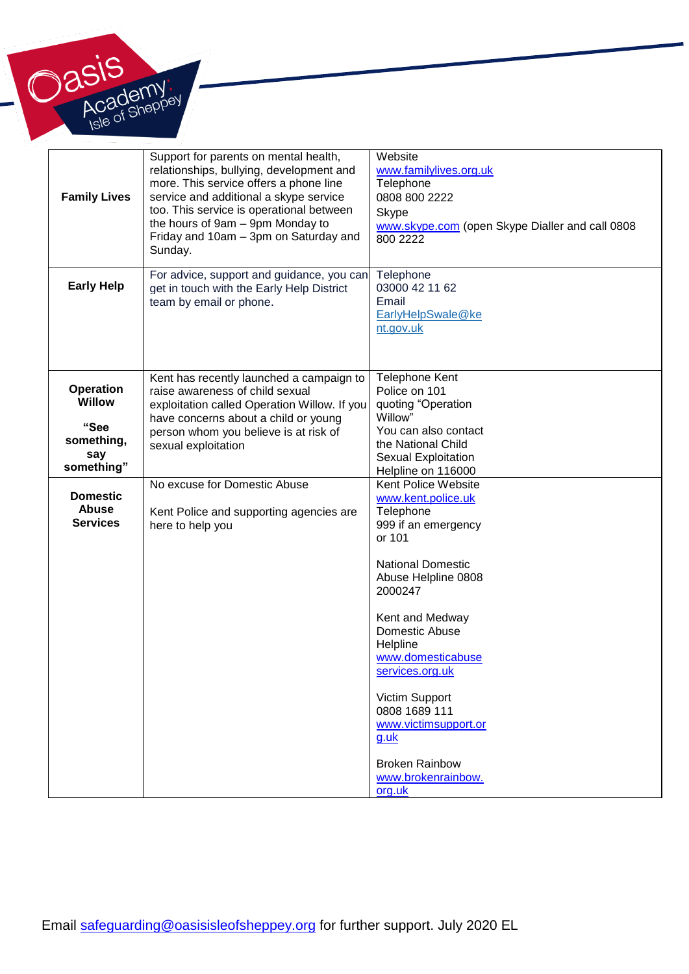

| <b>Family Lives</b>                                              | Support for parents on mental health,<br>relationships, bullying, development and<br>more. This service offers a phone line<br>service and additional a skype service<br>too. This service is operational between<br>the hours of 9am - 9pm Monday to<br>Friday and 10am - 3pm on Saturday and<br>Sunday. | Website<br>www.familylives.org.uk<br>Telephone<br>0808 800 2222<br><b>Skype</b><br>www.skype.com (open Skype Dialler and call 0808<br>800 2222                                                                                                                                                                                                                                                      |
|------------------------------------------------------------------|-----------------------------------------------------------------------------------------------------------------------------------------------------------------------------------------------------------------------------------------------------------------------------------------------------------|-----------------------------------------------------------------------------------------------------------------------------------------------------------------------------------------------------------------------------------------------------------------------------------------------------------------------------------------------------------------------------------------------------|
| <b>Early Help</b>                                                | For advice, support and guidance, you can<br>get in touch with the Early Help District<br>team by email or phone.                                                                                                                                                                                         | Telephone<br>03000 42 11 62<br>Email<br>EarlyHelpSwale@ke<br>nt.gov.uk                                                                                                                                                                                                                                                                                                                              |
| <b>Operation</b><br><b>Willow</b><br>"See<br>something,<br>say   | Kent has recently launched a campaign to<br>raise awareness of child sexual<br>exploitation called Operation Willow. If you<br>have concerns about a child or young<br>person whom you believe is at risk of<br>sexual exploitation                                                                       | <b>Telephone Kent</b><br>Police on 101<br>quoting "Operation<br>Willow"<br>You can also contact<br>the National Child<br>Sexual Exploitation                                                                                                                                                                                                                                                        |
| something"<br><b>Domestic</b><br><b>Abuse</b><br><b>Services</b> | No excuse for Domestic Abuse<br>Kent Police and supporting agencies are<br>here to help you                                                                                                                                                                                                               | Helpline on 116000<br>Kent Police Website<br>www.kent.police.uk<br>Telephone<br>999 if an emergency<br>or 101<br><b>National Domestic</b><br>Abuse Helpline 0808<br>2000247<br>Kent and Medway<br>Domestic Abuse<br>Helpline<br>www.domesticabuse<br>services.org.uk<br>Victim Support<br>0808 1689 111<br>www.victimsupport.or<br>$g.$ uk<br><b>Broken Rainbow</b><br>www.brokenrainbow.<br>org.uk |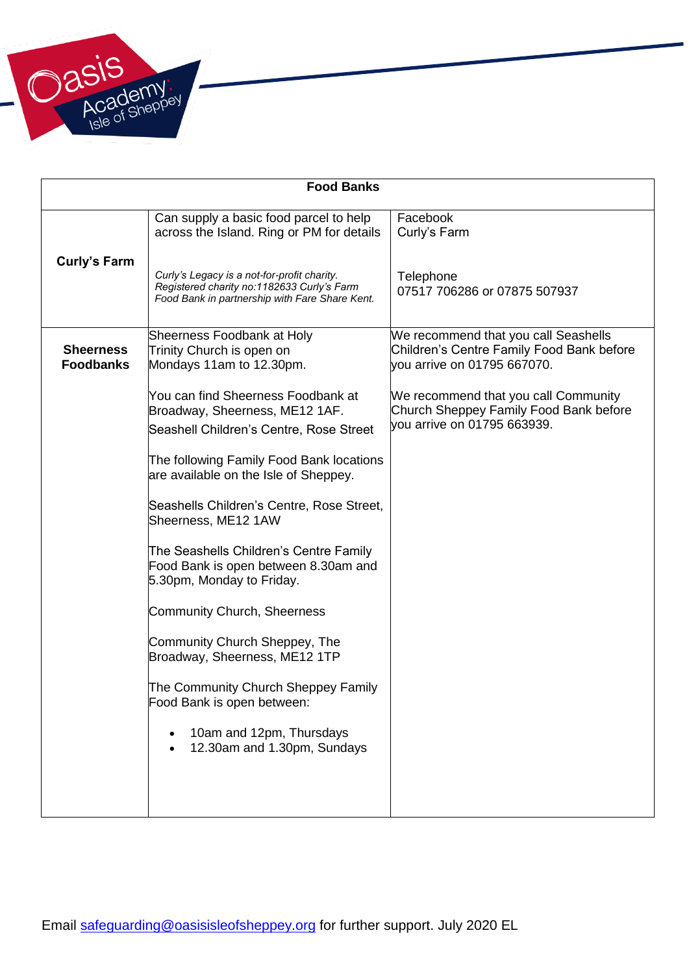

| <b>Food Banks</b>                    |                                                                                                                                                                                                                                                                          |                                                                                                                  |  |
|--------------------------------------|--------------------------------------------------------------------------------------------------------------------------------------------------------------------------------------------------------------------------------------------------------------------------|------------------------------------------------------------------------------------------------------------------|--|
|                                      | Can supply a basic food parcel to help<br>across the Island. Ring or PM for details                                                                                                                                                                                      | Facebook<br>Curly's Farm                                                                                         |  |
| <b>Curly's Farm</b>                  | Curly's Legacy is a not-for-profit charity.<br>Registered charity no:1182633 Curly's Farm<br>Food Bank in partnership with Fare Share Kent.                                                                                                                              | Telephone<br>07517 706286 or 07875 507937                                                                        |  |
| <b>Sheerness</b><br><b>Foodbanks</b> | Sheerness Foodbank at Holy<br>Trinity Church is open on<br>Mondays 11am to 12.30pm.                                                                                                                                                                                      | We recommend that you call Seashells<br>Children's Centre Family Food Bank before<br>vou arrive on 01795 667070. |  |
|                                      | You can find Sheerness Foodbank at<br>Broadway, Sheerness, ME12 1AF.<br>Seashell Children's Centre, Rose Street<br>The following Family Food Bank locations<br>are available on the Isle of Sheppey.<br>Seashells Children's Centre, Rose Street,<br>Sheerness, ME12 1AW | We recommend that you call Community<br>Church Sheppey Family Food Bank before<br>vou arrive on 01795 663939.    |  |
|                                      | The Seashells Children's Centre Family<br>Food Bank is open between 8.30am and<br>5.30pm, Monday to Friday.<br><b>Community Church, Sheerness</b><br>Community Church Sheppey, The                                                                                       |                                                                                                                  |  |
|                                      | Broadway, Sheerness, ME12 1TP<br>The Community Church Sheppey Family<br>Food Bank is open between:<br>10am and 12pm, Thursdays<br>12.30am and 1.30pm, Sundays                                                                                                            |                                                                                                                  |  |
|                                      |                                                                                                                                                                                                                                                                          |                                                                                                                  |  |